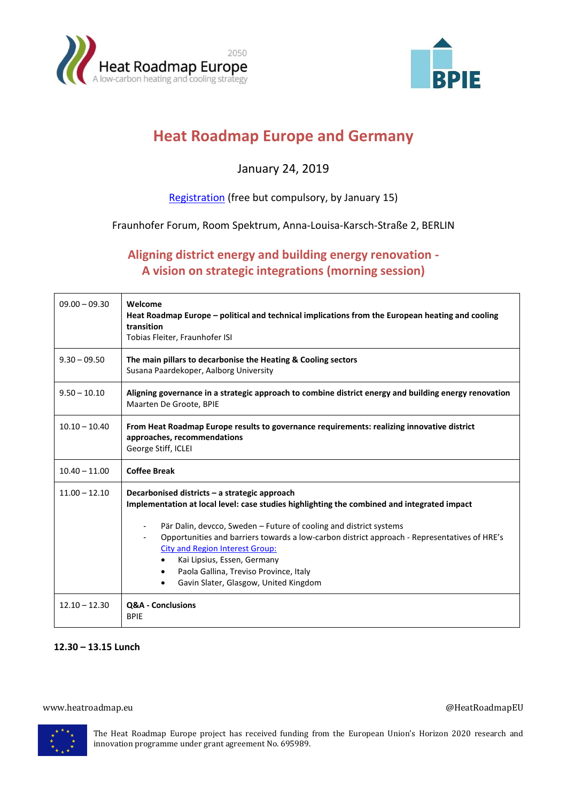



# **Heat Roadmap Europe and Germany**

## January 24, 2019

### [Registration](https://docs.google.com/forms/d/e/1FAIpQLSfrVy-gFMmrHtELr7g9icPgjKAoy2TEtWw7pLPh33iaT83S4Q/viewform?usp=sf_link) (free but compulsory, by January 15)

#### Fraunhofer Forum, Room Spektrum, Anna-Louisa-Karsch-Straße 2, BERLIN

## **Aligning district energy and building energy renovation - A vision on strategic integrations (morning session)**

| $09.00 - 09.30$ | Welcome<br>Heat Roadmap Europe - political and technical implications from the European heating and cooling<br>transition<br>Tobias Fleiter, Fraunhofer ISI                                                                                                                                                                                                                                                                                                                              |
|-----------------|------------------------------------------------------------------------------------------------------------------------------------------------------------------------------------------------------------------------------------------------------------------------------------------------------------------------------------------------------------------------------------------------------------------------------------------------------------------------------------------|
| $9.30 - 09.50$  | The main pillars to decarbonise the Heating & Cooling sectors<br>Susana Paardekoper, Aalborg University                                                                                                                                                                                                                                                                                                                                                                                  |
| $9.50 - 10.10$  | Aligning governance in a strategic approach to combine district energy and building energy renovation<br>Maarten De Groote, BPIE                                                                                                                                                                                                                                                                                                                                                         |
| $10.10 - 10.40$ | From Heat Roadmap Europe results to governance requirements: realizing innovative district<br>approaches, recommendations<br>George Stiff, ICLEI                                                                                                                                                                                                                                                                                                                                         |
| $10.40 - 11.00$ | <b>Coffee Break</b>                                                                                                                                                                                                                                                                                                                                                                                                                                                                      |
| $11.00 - 12.10$ | Decarbonised districts – a strategic approach<br>Implementation at local level: case studies highlighting the combined and integrated impact<br>Pär Dalin, devcco, Sweden - Future of cooling and district systems<br>Opportunities and barriers towards a low-carbon district approach - Representatives of HRE's<br><b>City and Region Interest Group:</b><br>Kai Lipsius, Essen, Germany<br>Paola Gallina, Treviso Province, Italy<br>٠<br>Gavin Slater, Glasgow, United Kingdom<br>٠ |
| $12.10 - 12.30$ | Q&A - Conclusions<br><b>BPIE</b>                                                                                                                                                                                                                                                                                                                                                                                                                                                         |

#### **12.30 – 13.15 Lunch**

#### www.heatroadmap.eu **and a state of the contract of the contract of the contract of the contract of the contract of the contract of the contract of the contract of the contract of the contract of the contract of the contrac**



The Heat Roadmap Europe project has received funding from the European Union's Horizon 2020 research and innovation programme under grant agreement No. 695989.